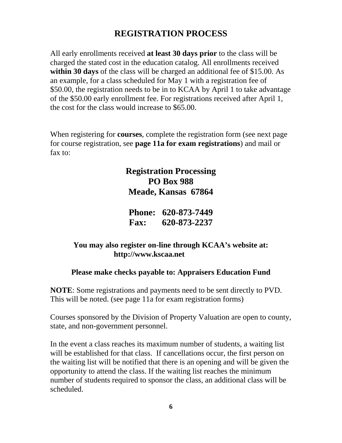# **REGISTRATION PROCESS**

All early enrollments received **at least 30 days prior** to the class will be charged the stated cost in the education catalog. All enrollments received within 30 days of the class will be charged an additional fee of \$15.00. As an example, for a class scheduled for May 1 with a registration fee of \$50.00, the registration needs to be in to KCAA by April 1 to take advantage of the \$50.00 early enrollment fee. For registrations received after April 1, the cost for the class would increase to \$65.00.

When registering for **courses**, complete the registration form (see next page for course registration, see **page 11a for exam registrations**) and mail or fax to:

## **Registration Processing PO Box 988 Meade, Kansas 67864**

**Phone: 620-873-7449 Fax: 620-873-2237**

## **You may also register on-line through KCAA's website at: http://www.kscaa.net**

## **Please make checks payable to: Appraisers Education Fund**

**NOTE**: Some registrations and payments need to be sent directly to PVD. This will be noted. (see page 11a for exam registration forms)

Courses sponsored by the Division of Property Valuation are open to county, state, and non-government personnel.

In the event a class reaches its maximum number of students, a waiting list will be established for that class. If cancellations occur, the first person on the waiting list will be notified that there is an opening and will be given the opportunity to attend the class. If the waiting list reaches the minimum number of students required to sponsor the class, an additional class will be scheduled.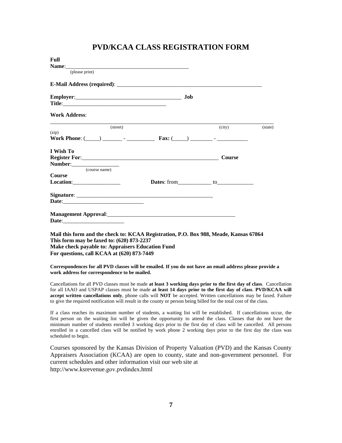### **PVD/KCAA CLASS REGISTRATION FORM**

| <b>Full</b>                                                                                                                                                                                                                    |               |         |
|--------------------------------------------------------------------------------------------------------------------------------------------------------------------------------------------------------------------------------|---------------|---------|
| (please print)                                                                                                                                                                                                                 |               |         |
| E-Mail Address (required): Note that the contract of the contract of the contract of the contract of the contract of the contract of the contract of the contract of the contract of the contract of the contract of the contr |               |         |
| Employer: Job                                                                                                                                                                                                                  |               |         |
| <b>Work Address:</b>                                                                                                                                                                                                           |               |         |
| (street)                                                                                                                                                                                                                       | (city)        | (state) |
| (zip)                                                                                                                                                                                                                          |               |         |
| I Wish To                                                                                                                                                                                                                      |               |         |
|                                                                                                                                                                                                                                | <b>Course</b> |         |
| (course name)                                                                                                                                                                                                                  |               |         |
| <b>Course</b>                                                                                                                                                                                                                  |               |         |
| $\textbf{Location:}\qquad \qquad \qquad \qquad \qquad \qquad \qquad \qquad \textbf{1}$                                                                                                                                         |               |         |
|                                                                                                                                                                                                                                |               |         |
|                                                                                                                                                                                                                                |               |         |
|                                                                                                                                                                                                                                |               |         |
|                                                                                                                                                                                                                                |               |         |
| Mail this form and the check to: KCAA Registration, P.O. Box 988, Meade, Kansas 67864                                                                                                                                          |               |         |
| This form may be faxed to: (620) 873-2237                                                                                                                                                                                      |               |         |
| Make check payable to: Appraisers Education Fund                                                                                                                                                                               |               |         |
| For questions, call KCAA at (620) 873-7449                                                                                                                                                                                     |               |         |

**Correspondences for all PVD classes will be emailed. If you do not have an email address please provide a work address for correspondence to be mailed.** 

Cancellations for all PVD classes must be made **at least 3 working days prior to the first day of class**. Cancellation for all IAAO and USPAP classes must be made **at least 14 days prior to the first day of class**. **PVD/KCAA will accept written cancellations only**, phone calls will **NOT** be accepted. Written cancellations may be faxed. Failure to give the required notification will result in the county or person being billed for the total cost of the class.

If a class reaches its maximum number of students, a waiting list will be established. If cancellations occur, the first person on the waiting list will be given the opportunity to attend the class. Classes that do not have the minimum number of students enrolled 3 working days prior to the first day of class will be cancelled. All persons enrolled in a cancelled class will be notified by work phone 2 working days prior to the first day the class was scheduled to begin.

Courses sponsored by the Kansas Division of Property Valuation (PVD) and the Kansas County Appraisers Association (KCAA) are open to county, state and non-government personnel. For current schedules and other information visit our web site at http://www.ksrevenue.gov.pvdindex.html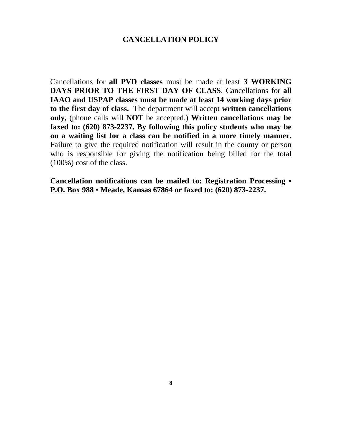#### **CANCELLATION POLICY**

Cancellations for **all PVD classes** must be made at least **3 WORKING DAYS PRIOR TO THE FIRST DAY OF CLASS**. Cancellations for **all IAAO and USPAP classes must be made at least 14 working days prior to the first day of class.** The department will accept **written cancellations only,** (phone calls will **NOT** be accepted.) **Written cancellations may be faxed to: (620) 873-2237. By following this policy students who may be on a waiting list for a class can be notified in a more timely manner.**  Failure to give the required notification will result in the county or person who is responsible for giving the notification being billed for the total (100%) cost of the class.

**Cancellation notifications can be mailed to: Registration Processing • P.O. Box 988 • Meade, Kansas 67864 or faxed to: (620) 873-2237.**